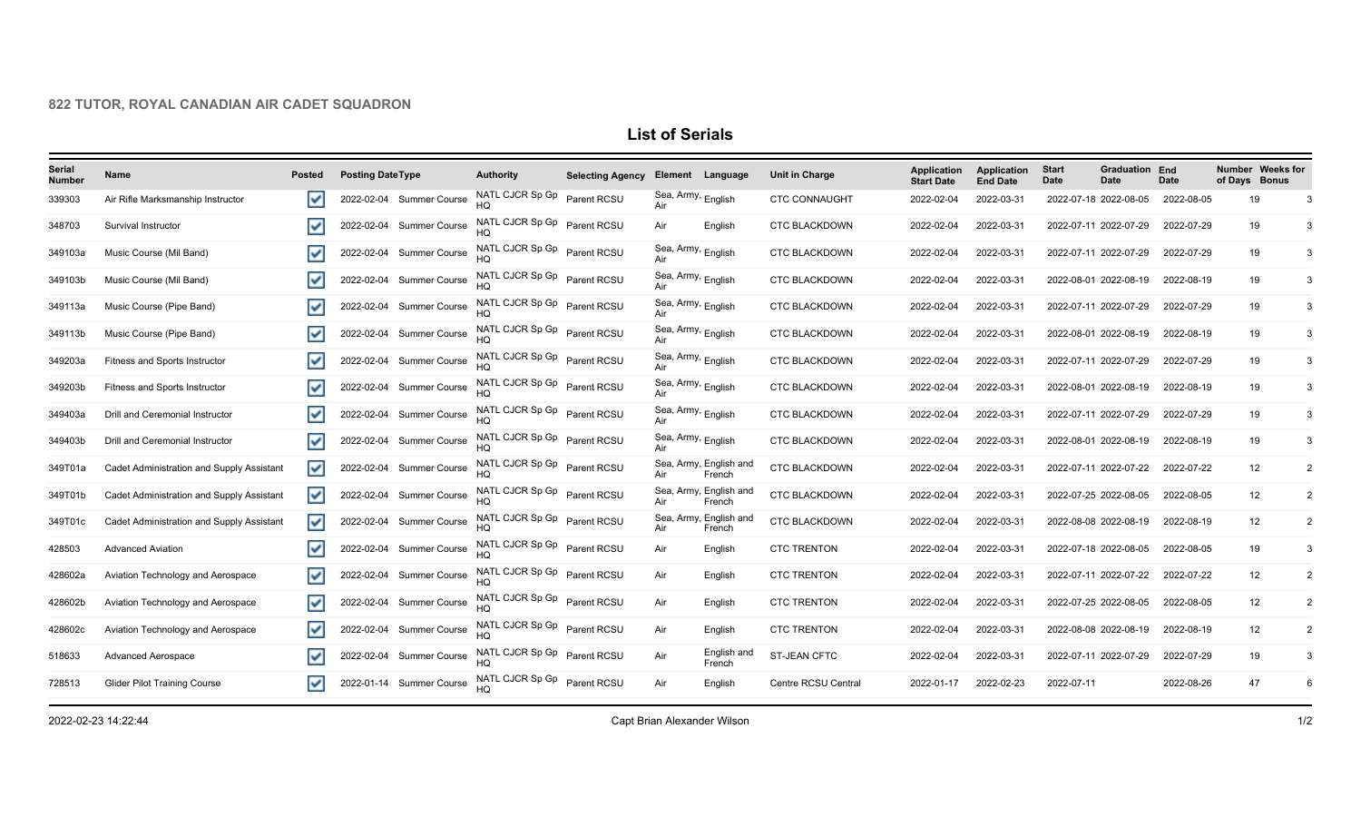## **822 TUTOR, ROYAL CANADIAN AIR CADET SQUADRON**

## **List of Serials**

| Serial<br><b>Number</b> | Name                                      | <b>Posted</b>           | <b>Posting DateType</b>  | <b>Authority</b>                     | <b>Selecting Agency</b> | <b>Element</b>                       | Language                         | Unit in Charge       | <b>Application</b><br><b>Start Date</b> | <b>Application</b><br><b>End Date</b> | <b>Start</b><br>Date | <b>Graduation End</b><br>Date | <b>Date</b> | Number Weeks for<br>of Days Bonus |                |
|-------------------------|-------------------------------------------|-------------------------|--------------------------|--------------------------------------|-------------------------|--------------------------------------|----------------------------------|----------------------|-----------------------------------------|---------------------------------------|----------------------|-------------------------------|-------------|-----------------------------------|----------------|
| 339303                  | Air Rifle Marksmanship Instructor         | V                       | 2022-02-04 Summer Course | NATL CJCR Sp Gp                      | Parent RCSU             | Sea, Army, English<br>Air            |                                  | <b>CTC CONNAUGHT</b> | 2022-02-04                              | 2022-03-31                            |                      | 2022-07-18 2022-08-05         | 2022-08-05  | 19                                |                |
| 348703                  | Survival Instructor                       | $\checkmark$            | 2022-02-04 Summer Course | NATL CJCR Sp Gp Parent RCSU          |                         | Air                                  | English                          | <b>CTC BLACKDOWN</b> | 2022-02-04                              | 2022-03-31                            |                      | 2022-07-11 2022-07-29         | 2022-07-29  | 19                                |                |
| 349103a                 | Music Course (Mil Band)                   | ▽                       | 2022-02-04 Summer Course | NATL CJCR Sp Gp Parent RCSU          |                         | Sea, Army, English<br>Air            |                                  | <b>CTC BLACKDOWN</b> | 2022-02-04                              | 2022-03-31                            |                      | 2022-07-11 2022-07-29         | 2022-07-29  | 19                                |                |
| 349103b                 | Music Course (Mil Band)                   | $\checkmark$            | 2022-02-04 Summer Course | NATL CJCR Sp Gp Parent RCSU          |                         | Sea, Army, English<br>Air            |                                  | <b>CTC BLACKDOWN</b> | 2022-02-04                              | 2022-03-31                            |                      | 2022-08-01 2022-08-19         | 2022-08-19  | 19                                |                |
| 349113a                 | Music Course (Pipe Band)                  | V                       | 2022-02-04 Summer Course | NATL CJCR Sp Gp Parent RCSU<br>HQ    |                         | Sea, Army, English<br>Air            |                                  | <b>CTC BLACKDOWN</b> | 2022-02-04                              | 2022-03-31                            |                      | 2022-07-11 2022-07-29         | 2022-07-29  | 19                                |                |
| 349113b                 | Music Course (Pipe Band)                  | $\overline{\mathbf{v}}$ | 2022-02-04 Summer Course | NATL CJCR Sp Gp Parent RCSU          |                         | Sea, Army, <sub>English</sub>        |                                  | <b>CTC BLACKDOWN</b> | 2022-02-04                              | 2022-03-31                            |                      | 2022-08-01 2022-08-19         | 2022-08-19  | 19                                | 3              |
| 349203a                 | Fitness and Sports Instructor             | $\overline{\mathbf{v}}$ | 2022-02-04 Summer Course | NATL CJCR Sp Gp Parent RCSU          |                         | Sea, Army, English<br>Air            |                                  | <b>CTC BLACKDOWN</b> | 2022-02-04                              | 2022-03-31                            |                      | 2022-07-11 2022-07-29         | 2022-07-29  | 19                                |                |
| 349203b                 | Fitness and Sports Instructor             | V                       | 2022-02-04 Summer Course | NATL CJCR Sp Gp Parent RCSU          |                         | Sea, Army, English<br>Air            |                                  | <b>CTC BLACKDOWN</b> | 2022-02-04                              | 2022-03-31                            |                      | 2022-08-01 2022-08-19         | 2022-08-19  | 19                                |                |
| 349403a                 | Drill and Ceremonial Instructor           | ▽                       | 2022-02-04 Summer Course | NATL CJCR Sp Gp Parent RCSU          |                         | Sea, Army, <sub>English</sub><br>Air |                                  | <b>CTC BLACKDOWN</b> | 2022-02-04                              | 2022-03-31                            |                      | 2022-07-11 2022-07-29         | 2022-07-29  | 19                                |                |
| 349403b                 | Drill and Ceremonial Instructor           | ▽                       | 2022-02-04 Summer Course | NATL CJCR Sp Gp Parent RCSU          |                         | Sea, Army, <sub>English</sub><br>Air |                                  | <b>CTC BLACKDOWN</b> | 2022-02-04                              | 2022-03-31                            |                      | 2022-08-01 2022-08-19         | 2022-08-19  | 19                                |                |
| 349T01a                 | Cadet Administration and Supply Assistant | V                       | 2022-02-04 Summer Course | NATL CJCR Sp Gp Parent RCSU          |                         | Air                                  | Sea, Army, English and<br>French | <b>CTC BLACKDOWN</b> | 2022-02-04                              | 2022-03-31                            |                      | 2022-07-11 2022-07-22         | 2022-07-22  | 12                                |                |
| 349T01b                 | Cadet Administration and Supply Assistant | ▽                       | 2022-02-04 Summer Course | NATL CJCR Sp Gp Parent RCSU          |                         | Air                                  | Sea, Army, English and<br>French | <b>CTC BLACKDOWN</b> | 2022-02-04                              | 2022-03-31                            |                      | 2022-07-25 2022-08-05         | 2022-08-05  | 12                                |                |
| 349T01c                 | Cadet Administration and Supply Assistant | $\blacktriangledown$    | 2022-02-04 Summer Course | NATL CJCR Sp Gp Parent RCSU          |                         | Air                                  | Sea, Army, English and<br>French | <b>CTC BLACKDOWN</b> | 2022-02-04                              | 2022-03-31                            |                      | 2022-08-08 2022-08-19         | 2022-08-19  | 12                                | $\overline{2}$ |
| 428503                  | <b>Advanced Aviation</b>                  | $\checkmark$            | 2022-02-04 Summer Course | NATL CJCR Sp Gp Parent RCSU          |                         | Air                                  | English                          | <b>CTC TRENTON</b>   | 2022-02-04                              | 2022-03-31                            |                      | 2022-07-18 2022-08-05         | 2022-08-05  | 19                                |                |
| 428602a                 | Aviation Technology and Aerospace         | է                       | 2022-02-04 Summer Course | NATL CJCR Sp Gp Parent RCSU          |                         | Air                                  | English                          | <b>CTC TRENTON</b>   | 2022-02-04                              | 2022-03-31                            |                      | 2022-07-11 2022-07-22         | 2022-07-22  | 12                                |                |
| 428602b                 | Aviation Technology and Aerospace         | $\overline{\mathsf{v}}$ | 2022-02-04 Summer Course | NATL CJCR Sp Gp    Parent RCSU<br>HQ |                         | Air                                  | English                          | <b>CTC TRENTON</b>   | 2022-02-04                              | 2022-03-31                            |                      | 2022-07-25 2022-08-05         | 2022-08-05  | 12                                |                |
| 428602c                 | Aviation Technology and Aerospace         | $\overline{\mathsf{v}}$ | 2022-02-04 Summer Course | NATL CJCR Sp Gp Parent RCSU          |                         | Air                                  | English                          | <b>CTC TRENTON</b>   | 2022-02-04                              | 2022-03-31                            |                      | 2022-08-08 2022-08-19         | 2022-08-19  | 12                                |                |
| 518633                  | <b>Advanced Aerospace</b>                 | $\checkmark$            | 2022-02-04 Summer Course | NATL CJCR Sp Gp Parent RCSU          |                         | Air                                  | English and<br>French            | ST-JEAN CFTC         | 2022-02-04                              | 2022-03-31                            |                      | 2022-07-11 2022-07-29         | 2022-07-29  | 19                                |                |
| 728513                  | <b>Glider Pilot Training Course</b>       | $\overline{\mathsf{v}}$ | 2022-01-14 Summer Course | NATL CJCR Sp Gp Parent RCSU          |                         | Air                                  | English                          | Centre RCSU Central  | 2022-01-17                              | 2022-02-23                            | 2022-07-11           |                               | 2022-08-26  | 47                                |                |

2022-02-23 14:22:44 Capt Brian Alexander Wilson 1/2